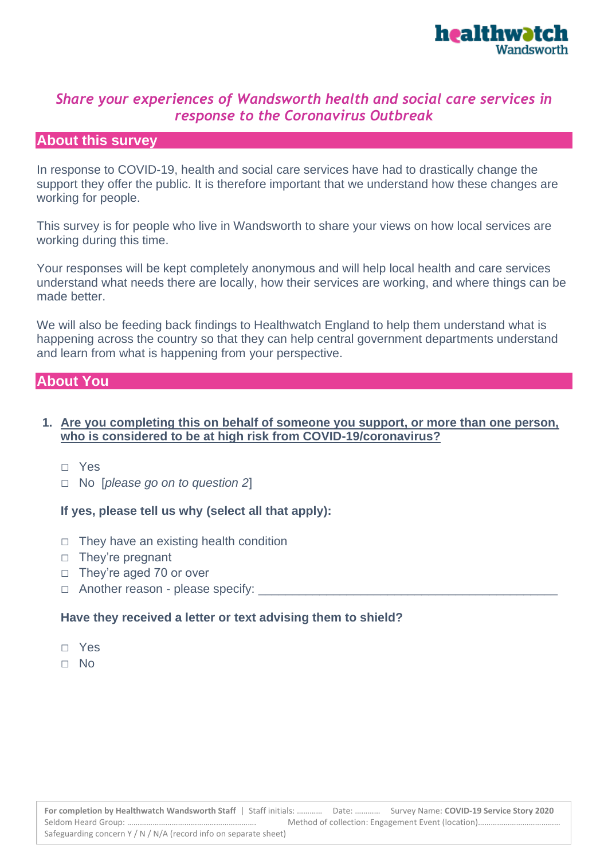

# *Share your experiences of Wandsworth health and social care services in response to the Coronavirus Outbreak*

## **About this survey**

In response to COVID-19, health and social care services have had to drastically change the support they offer the public. It is therefore important that we understand how these changes are working for people.

This survey is for people who live in Wandsworth to share your views on how local services are working during this time.

Your responses will be kept completely anonymous and will help local health and care services understand what needs there are locally, how their services are working, and where things can be made better.

We will also be feeding back findings to Healthwatch England to help them understand what is happening across the country so that they can help central government departments understand and learn from what is happening from your perspective.

#### **About You**

#### **1. Are you completing this on behalf of someone you support, or more than one person, who is considered to be at high risk from COVID-19/coronavirus?**

- □ Yes
- □ No [*please go on to question 2*]

#### **If yes, please tell us why (select all that apply):**

- □ They have an existing health condition
- □ They're pregnant
- □ They're aged 70 or over
- $\Box$  Another reason please specify:

#### **Have they received a letter or text advising them to shield?**

- □ Yes
- □ No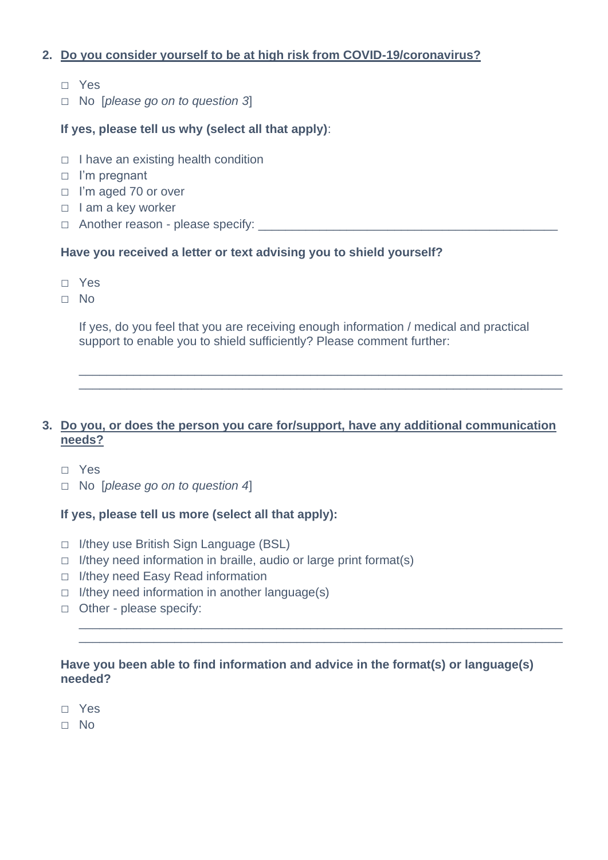## **2. Do you consider yourself to be at high risk from COVID-19/coronavirus?**

- □ Yes
- □ No [*please go on to question 3*]

## **If yes, please tell us why (select all that apply)**:

- $\Box$  I have an existing health condition
- □ I'm pregnant
- □ I'm aged 70 or over
- □ I am a key worker
- □ Another reason please specify: \_\_\_\_\_\_\_\_\_\_\_\_\_\_\_\_\_\_\_\_\_\_\_\_\_\_\_\_\_\_\_\_\_\_\_\_\_\_\_\_\_\_\_\_

#### **Have you received a letter or text advising you to shield yourself?**

- □ Yes
- □ No

If yes, do you feel that you are receiving enough information / medical and practical support to enable you to shield sufficiently? Please comment further:

\_\_\_\_\_\_\_\_\_\_\_\_\_\_\_\_\_\_\_\_\_\_\_\_\_\_\_\_\_\_\_\_\_\_\_\_\_\_\_\_\_\_\_\_\_\_\_\_\_\_\_\_\_\_\_\_\_\_\_\_\_\_\_\_\_\_\_\_\_\_\_ \_\_\_\_\_\_\_\_\_\_\_\_\_\_\_\_\_\_\_\_\_\_\_\_\_\_\_\_\_\_\_\_\_\_\_\_\_\_\_\_\_\_\_\_\_\_\_\_\_\_\_\_\_\_\_\_\_\_\_\_\_\_\_\_\_\_\_\_\_\_\_

## **3. Do you, or does the person you care for/support, have any additional communication needs?**

- □ Yes
- □ No [*please go on to question 4*]

## **If yes, please tell us more (select all that apply):**

- □ I/they use British Sign Language (BSL)
- $\Box$  I/they need information in braille, audio or large print format(s)
- □ I/they need Easy Read information
- $\Box$  I/they need information in another language(s)
- □ Other please specify:

#### **Have you been able to find information and advice in the format(s) or language(s) needed?**

\_\_\_\_\_\_\_\_\_\_\_\_\_\_\_\_\_\_\_\_\_\_\_\_\_\_\_\_\_\_\_\_\_\_\_\_\_\_\_\_\_\_\_\_\_\_\_\_\_\_\_\_\_\_\_\_\_\_\_\_\_\_\_\_\_\_\_\_\_\_\_ \_\_\_\_\_\_\_\_\_\_\_\_\_\_\_\_\_\_\_\_\_\_\_\_\_\_\_\_\_\_\_\_\_\_\_\_\_\_\_\_\_\_\_\_\_\_\_\_\_\_\_\_\_\_\_\_\_\_\_\_\_\_\_\_\_\_\_\_\_\_\_

- □ Yes
- □ No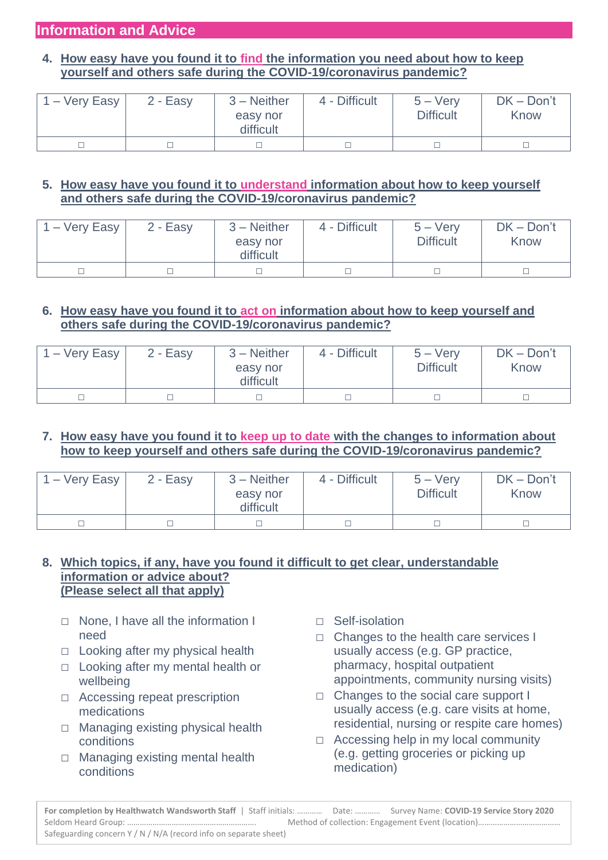## **4. How easy have you found it to find the information you need about how to keep yourself and others safe during the COVID-19/coronavirus pandemic?**

| 1 – Very Easy | $2 - Easy$ | $3 -$ Neither<br>easy nor<br>difficult | 4 - Difficult | $5 - \text{Verv}$<br><b>Difficult</b> | $DK - Don't$<br>Know |
|---------------|------------|----------------------------------------|---------------|---------------------------------------|----------------------|
|               |            |                                        |               |                                       |                      |

## **5. How easy have you found it to understand information about how to keep yourself and others safe during the COVID-19/coronavirus pandemic?**

| 1 – Very Easy | 2 - Easy | $3 -$ Neither<br>easy nor<br>difficult | 4 - Difficult | $5 - \text{Very}$<br><b>Difficult</b> | $DK - Don't$<br>Know |
|---------------|----------|----------------------------------------|---------------|---------------------------------------|----------------------|
|               |          |                                        |               |                                       |                      |

## **6. How easy have you found it to act on information about how to keep yourself and others safe during the COVID-19/coronavirus pandemic?**

| $1 -$ Very Easy | $2 - Easy$ | $3 -$ Neither<br>easy nor<br>difficult | 4 - Difficult | $5 - \text{Verv}$<br><b>Difficult</b> | $DK - Don't$<br>Know |
|-----------------|------------|----------------------------------------|---------------|---------------------------------------|----------------------|
|                 |            |                                        |               |                                       |                      |

## **7. How easy have you found it to keep up to date with the changes to information about how to keep yourself and others safe during the COVID-19/coronavirus pandemic?**

| $1 -$ Very Easy | $2 - Easy$ | $3 -$ Neither<br>easy nor<br>difficult | 4 - Difficult | $5 - \text{Very}$<br><b>Difficult</b> | $DK - Don't$<br>Know |
|-----------------|------------|----------------------------------------|---------------|---------------------------------------|----------------------|
|                 |            |                                        |               |                                       |                      |

## **8. Which topics, if any, have you found it difficult to get clear, understandable information or advice about? (Please select all that apply)**

- □ None, I have all the information I need
- $\Box$  Looking after my physical health
- □ Looking after my mental health or wellbeing
- □ Accessing repeat prescription medications
- □ Managing existing physical health conditions
- □ Managing existing mental health conditions
- □ Self-isolation
- □ Changes to the health care services I usually access (e.g. GP practice, pharmacy, hospital outpatient appointments, community nursing visits)
- □ Changes to the social care support I usually access (e.g. care visits at home, residential, nursing or respite care homes)
- $\Box$  Accessing help in my local community (e.g. getting groceries or picking up medication)

**For completion by Healthwatch Wandsworth Staff** | Staff initials: ………… Date: ………… Survey Name: **COVID-19 Service Story 2020** Seldom Heard Group: ……………………………………………………. Method of collection: Engagement Event (location)………………………………… Safeguarding concern Y / N / N/A (record info on separate sheet)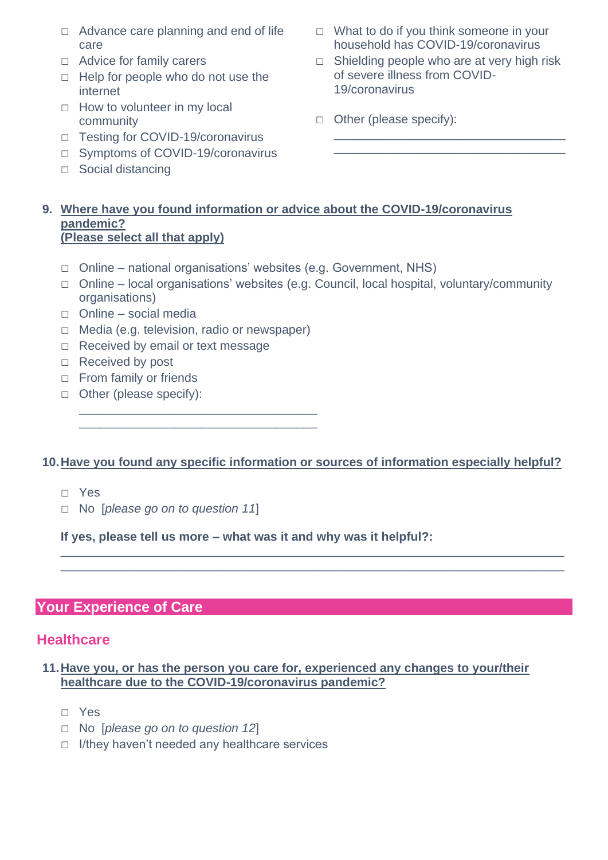- $\Box$  Advance care planning and end of life care
- □ Advice for family carers
- $\Box$  Help for people who do not use the internet
- $\Box$  How to volunteer in my local community
- □ Testing for COVID-19/coronavirus
- □ Symptoms of COVID-19/coronavirus
- □ Social distancing
- □ What to do if you think someone in your household has COVID-19/coronavirus
- $\Box$  Shielding people who are at very high risk of severe illness from COVID-19/coronavirus

\_\_\_\_\_\_\_\_\_\_\_\_\_\_\_\_\_\_\_\_\_\_\_\_\_\_\_\_\_\_\_\_\_\_ \_\_\_\_\_\_\_\_\_\_\_\_\_\_\_\_\_\_\_\_\_\_\_\_\_\_\_\_\_\_\_\_\_\_

□ Other (please specify):

#### **9. Where have you found information or advice about the COVID-19/coronavirus pandemic? (Please select all that apply)**

- $\Box$  Online national organisations' websites (e.g. Government, NHS)
- □ Online local organisations' websites (e.g. Council, local hospital, voluntary/community organisations)
- □ Online social media
- □ Media (e.g. television, radio or newspaper)

\_\_\_\_\_\_\_\_\_\_\_\_\_\_\_\_\_\_\_\_\_\_\_\_\_\_\_\_\_\_\_\_\_\_\_ \_\_\_\_\_\_\_\_\_\_\_\_\_\_\_\_\_\_\_\_\_\_\_\_\_\_\_\_\_\_\_\_\_\_\_

- □ Received by email or text message
- □ Received by post
- □ From family or friends
- □ Other (please specify):

## **10.Have you found any specific information or sources of information especially helpful?**

\_\_\_\_\_\_\_\_\_\_\_\_\_\_\_\_\_\_\_\_\_\_\_\_\_\_\_\_\_\_\_\_\_\_\_\_\_\_\_\_\_\_\_\_\_\_\_\_\_\_\_\_\_\_\_\_\_\_\_\_\_\_\_\_\_\_\_\_\_\_\_\_\_\_ \_\_\_\_\_\_\_\_\_\_\_\_\_\_\_\_\_\_\_\_\_\_\_\_\_\_\_\_\_\_\_\_\_\_\_\_\_\_\_\_\_\_\_\_\_\_\_\_\_\_\_\_\_\_\_\_\_\_\_\_\_\_\_\_\_\_\_\_\_\_\_\_\_\_

- □ Yes
- □ No [*please go on to question 11*]

**If yes, please tell us more – what was it and why was it helpful?:**

# **Your Experience of Care**

# **Healthcare**

## **11.Have you, or has the person you care for, experienced any changes to your/their healthcare due to the COVID-19/coronavirus pandemic?**

- □ Yes
- □ No [*please go on to question 12*]
- □ I/they haven't needed any healthcare services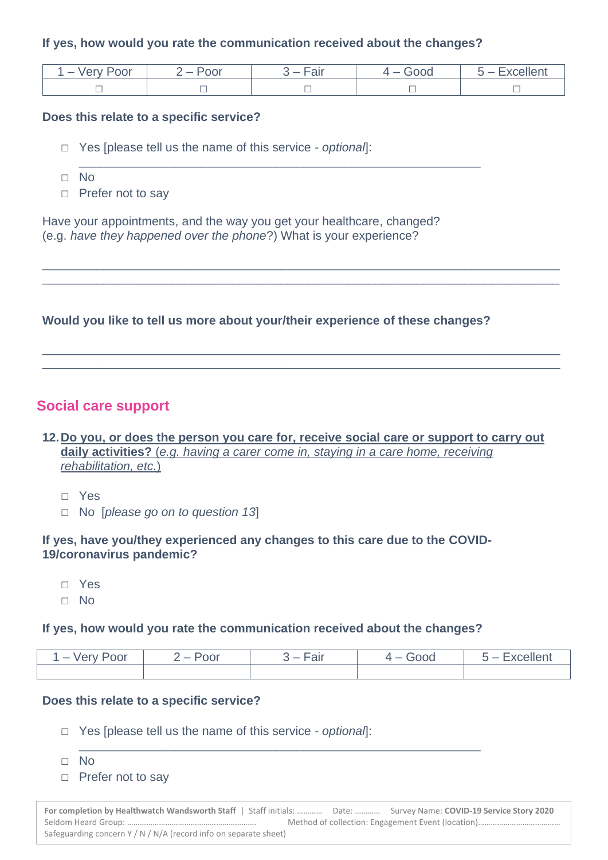#### **If yes, how would you rate the communication received about the changes?**

\_\_\_\_\_\_\_\_\_\_\_\_\_\_\_\_\_\_\_\_\_\_\_\_\_\_\_\_\_\_\_\_\_\_\_\_\_\_\_\_\_\_\_\_\_\_\_\_\_\_\_\_\_\_\_\_\_\_\_

| $\overline{\phantom{a}}$<br>oor<br>-ve | Poor<br>╺<br>$\sim$ | ooc<br>$\overline{\phantom{a}}$ | $\sim$ |
|----------------------------------------|---------------------|---------------------------------|--------|
|                                        | 一                   |                                 | 一      |

\_\_\_\_\_\_\_\_\_\_\_\_\_\_\_\_\_\_\_\_\_\_\_\_\_\_\_\_\_\_\_\_\_\_\_\_\_\_\_\_\_\_\_\_\_\_\_\_\_\_\_\_\_\_\_\_\_\_\_\_\_\_\_\_\_\_\_\_\_\_\_\_\_\_\_\_ \_\_\_\_\_\_\_\_\_\_\_\_\_\_\_\_\_\_\_\_\_\_\_\_\_\_\_\_\_\_\_\_\_\_\_\_\_\_\_\_\_\_\_\_\_\_\_\_\_\_\_\_\_\_\_\_\_\_\_\_\_\_\_\_\_\_\_\_\_\_\_\_\_\_\_\_

\_\_\_\_\_\_\_\_\_\_\_\_\_\_\_\_\_\_\_\_\_\_\_\_\_\_\_\_\_\_\_\_\_\_\_\_\_\_\_\_\_\_\_\_\_\_\_\_\_\_\_\_\_\_\_\_\_\_\_\_\_\_\_\_\_\_\_\_\_\_\_\_\_\_\_\_ \_\_\_\_\_\_\_\_\_\_\_\_\_\_\_\_\_\_\_\_\_\_\_\_\_\_\_\_\_\_\_\_\_\_\_\_\_\_\_\_\_\_\_\_\_\_\_\_\_\_\_\_\_\_\_\_\_\_\_\_\_\_\_\_\_\_\_\_\_\_\_\_\_\_\_\_

#### **Does this relate to a specific service?**

- □ Yes [please tell us the name of this service *optional*]:
- □ No
- □ Prefer not to say

Have your appointments, and the way you get your healthcare, changed? (e.g. *have they happened over the phone*?) What is your experience?

## **Would you like to tell us more about your/their experience of these changes?**

## **Social care support**

## **12.Do you, or does the person you care for, receive social care or support to carry out daily activities?** (*e.g. having a carer come in, staying in a care home, receiving rehabilitation, etc.*)

- □ Yes
- □ No [*please go on to question 13*]

#### **If yes, have you/they experienced any changes to this care due to the COVID-19/coronavirus pandemic?**

- □ Yes
- □ No

#### **If yes, how would you rate the communication received about the changes?**

| ⊥ – Verv Poor | $2 -$ Poor | 3 – Fair | Good<br>$4-$ | $5 -$ Excellent |
|---------------|------------|----------|--------------|-----------------|
|               |            |          |              |                 |

#### **Does this relate to a specific service?**

- □ Yes [please tell us the name of this service *optional*]:
- □ No
- □ Prefer not to say

**For completion by Healthwatch Wandsworth Staff** | Staff initials: ………… Date: ………… Survey Name: **COVID-19 Service Story 2020** Seldom Heard Group: ……………………………………………………. Method of collection: Engagement Event (location)………………………………… Safeguarding concern Y / N / N/A (record info on separate sheet)

\_\_\_\_\_\_\_\_\_\_\_\_\_\_\_\_\_\_\_\_\_\_\_\_\_\_\_\_\_\_\_\_\_\_\_\_\_\_\_\_\_\_\_\_\_\_\_\_\_\_\_\_\_\_\_\_\_\_\_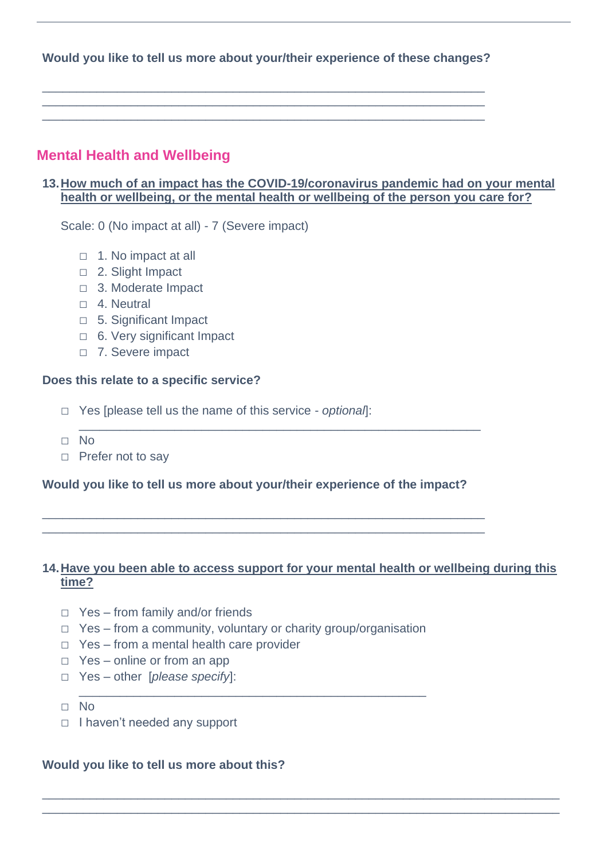**Would you like to tell us more about your/their experience of these changes?**

\_\_\_\_\_\_\_\_\_\_\_\_\_\_\_\_\_\_\_\_\_\_\_\_\_\_\_\_\_\_\_\_\_\_\_\_\_\_\_\_\_\_\_\_\_\_\_\_\_\_\_\_\_\_\_\_\_\_\_\_\_\_\_\_\_ \_\_\_\_\_\_\_\_\_\_\_\_\_\_\_\_\_\_\_\_\_\_\_\_\_\_\_\_\_\_\_\_\_\_\_\_\_\_\_\_\_\_\_\_\_\_\_\_\_\_\_\_\_\_\_\_\_\_\_\_\_\_\_\_\_ \_\_\_\_\_\_\_\_\_\_\_\_\_\_\_\_\_\_\_\_\_\_\_\_\_\_\_\_\_\_\_\_\_\_\_\_\_\_\_\_\_\_\_\_\_\_\_\_\_\_\_\_\_\_\_\_\_\_\_\_\_\_\_\_\_

# **Mental Health and Wellbeing**

## **13.How much of an impact has the COVID-19/coronavirus pandemic had on your mental health or wellbeing, or the mental health or wellbeing of the person you care for?**

Scale: 0 (No impact at all) - 7 (Severe impact)

- □ 1. No impact at all
- □ 2. Slight Impact
- □ 3. Moderate Impact
- $\neg$  4. Neutral
- □ 5. Significant Impact
- □ 6. Very significant Impact
- □ 7. Severe impact

#### **Does this relate to a specific service?**

- □ Yes [please tell us the name of this service *optional*]:
- □ No
- □ Prefer not to say

## **Would you like to tell us more about your/their experience of the impact?**

\_\_\_\_\_\_\_\_\_\_\_\_\_\_\_\_\_\_\_\_\_\_\_\_\_\_\_\_\_\_\_\_\_\_\_\_\_\_\_\_\_\_\_\_\_\_\_\_\_\_\_\_\_\_\_\_\_\_\_\_\_\_\_\_\_ \_\_\_\_\_\_\_\_\_\_\_\_\_\_\_\_\_\_\_\_\_\_\_\_\_\_\_\_\_\_\_\_\_\_\_\_\_\_\_\_\_\_\_\_\_\_\_\_\_\_\_\_\_\_\_\_\_\_\_\_\_\_\_\_\_

\_\_\_\_\_\_\_\_\_\_\_\_\_\_\_\_\_\_\_\_\_\_\_\_\_\_\_\_\_\_\_\_\_\_\_\_\_\_\_\_\_\_\_\_\_\_\_\_\_\_\_\_\_\_\_\_\_\_\_

## **14.Have you been able to access support for your mental health or wellbeing during this time?**

\_\_\_\_\_\_\_\_\_\_\_\_\_\_\_\_\_\_\_\_\_\_\_\_\_\_\_\_\_\_\_\_\_\_\_\_\_\_\_\_\_\_\_\_\_\_\_\_\_\_\_\_\_\_\_\_\_\_\_\_\_\_\_\_\_\_\_\_\_\_\_\_\_\_\_\_ \_\_\_\_\_\_\_\_\_\_\_\_\_\_\_\_\_\_\_\_\_\_\_\_\_\_\_\_\_\_\_\_\_\_\_\_\_\_\_\_\_\_\_\_\_\_\_\_\_\_\_\_\_\_\_\_\_\_\_\_\_\_\_\_\_\_\_\_\_\_\_\_\_\_\_\_

- □ Yes from family and/or friends
- □ Yes from a community, voluntary or charity group/organisation

\_\_\_\_\_\_\_\_\_\_\_\_\_\_\_\_\_\_\_\_\_\_\_\_\_\_\_\_\_\_\_\_\_\_\_\_\_\_\_\_\_\_\_\_\_\_\_\_\_\_\_

- □ Yes from a mental health care provider
- □ Yes online or from an app
- □ Yes other [*please specify*]:
- □ No
- □ I haven't needed any support

## **Would you like to tell us more about this?**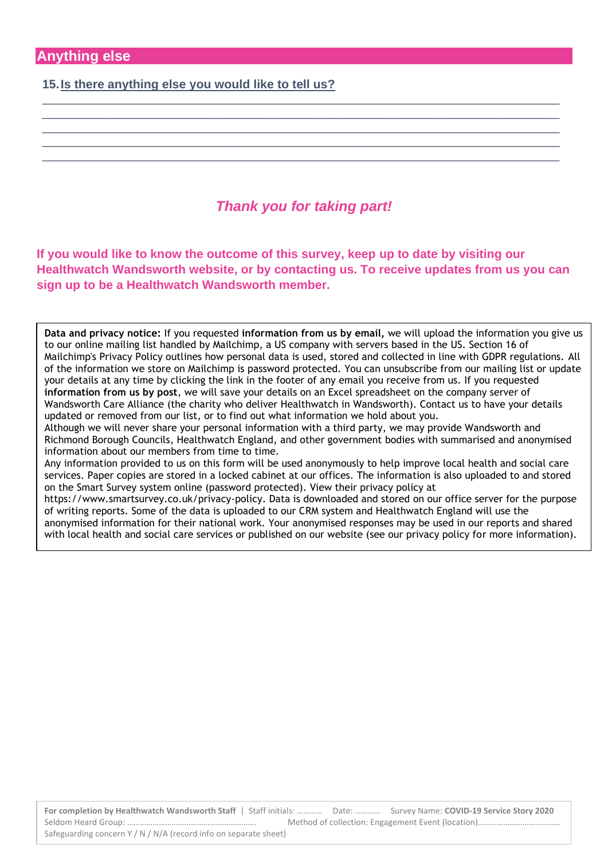**15.Is there anything else you would like to tell us?**

# *Thank you for taking part!*

\_\_\_\_\_\_\_\_\_\_\_\_\_\_\_\_\_\_\_\_\_\_\_\_\_\_\_\_\_\_\_\_\_\_\_\_\_\_\_\_\_\_\_\_\_\_\_\_\_\_\_\_\_\_\_\_\_\_\_\_\_\_\_\_\_\_\_\_\_\_\_\_\_\_\_\_ \_\_\_\_\_\_\_\_\_\_\_\_\_\_\_\_\_\_\_\_\_\_\_\_\_\_\_\_\_\_\_\_\_\_\_\_\_\_\_\_\_\_\_\_\_\_\_\_\_\_\_\_\_\_\_\_\_\_\_\_\_\_\_\_\_\_\_\_\_\_\_\_\_\_\_\_ \_\_\_\_\_\_\_\_\_\_\_\_\_\_\_\_\_\_\_\_\_\_\_\_\_\_\_\_\_\_\_\_\_\_\_\_\_\_\_\_\_\_\_\_\_\_\_\_\_\_\_\_\_\_\_\_\_\_\_\_\_\_\_\_\_\_\_\_\_\_\_\_\_\_\_\_ \_\_\_\_\_\_\_\_\_\_\_\_\_\_\_\_\_\_\_\_\_\_\_\_\_\_\_\_\_\_\_\_\_\_\_\_\_\_\_\_\_\_\_\_\_\_\_\_\_\_\_\_\_\_\_\_\_\_\_\_\_\_\_\_\_\_\_\_\_\_\_\_\_\_\_\_ \_\_\_\_\_\_\_\_\_\_\_\_\_\_\_\_\_\_\_\_\_\_\_\_\_\_\_\_\_\_\_\_\_\_\_\_\_\_\_\_\_\_\_\_\_\_\_\_\_\_\_\_\_\_\_\_\_\_\_\_\_\_\_\_\_\_\_\_\_\_\_\_\_\_\_\_

**If you would like to know the outcome of this survey, keep up to date by visiting our Healthwatch Wandsworth website, or by contacting us. To receive updates from us you can sign up to be a Healthwatch Wandsworth member.**

**Data and privacy notice:** If you requested **information from us by email,** we will upload the information you give us to our online mailing list handled by Mailchimp, a US company with servers based in the US. Section 16 of Mailchimp's Privacy Policy outlines how personal data is used, stored and collected in line with GDPR regulations. All of the information we store on Mailchimp is password protected. You can unsubscribe from our mailing list or update your details at any time by clicking the link in the footer of any email you receive from us. If you requested **information from us by post**, we will save your details on an Excel spreadsheet on the company server of Wandsworth Care Alliance (the charity who deliver Healthwatch in Wandsworth). Contact us to have your details updated or removed from our list, or to find out what information we hold about you.

Although we will never share your personal information with a third party, we may provide Wandsworth and Richmond Borough Councils, Healthwatch England, and other government bodies with summarised and anonymised information about our members from time to time.

Any information provided to us on this form will be used anonymously to help improve local health and social care services. Paper copies are stored in a locked cabinet at our offices. The information is also uploaded to and stored on the Smart Survey system online (password protected). View their privacy policy at

https://www.smartsurvey.co.uk/privacy-policy. Data is downloaded and stored on our office server for the purpose of writing reports. Some of the data is uploaded to our CRM system and Healthwatch England will use the anonymised information for their national work. Your anonymised responses may be used in our reports and shared with local health and social care services or published on our website (see our privacy policy for more information).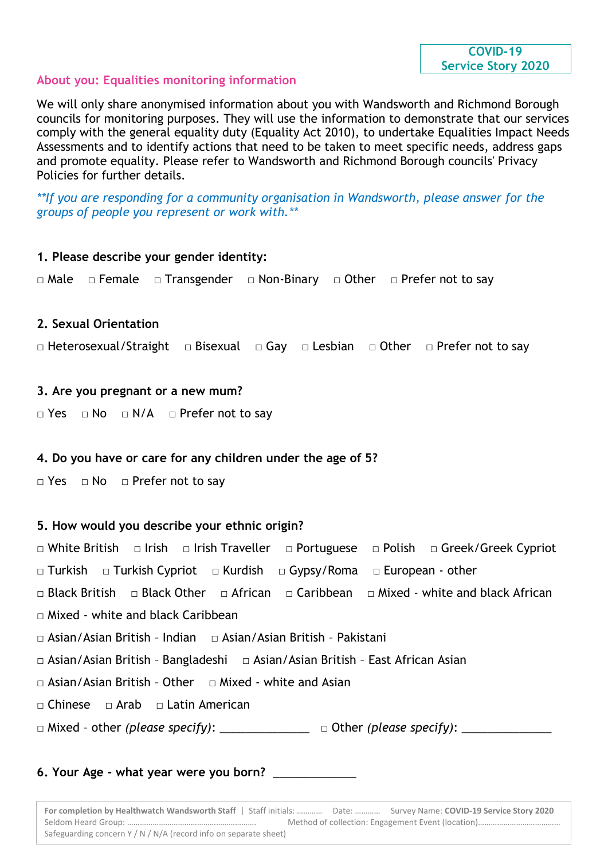#### **COVID-19 Service Story 2020**

#### **About you: Equalities monitoring information**

We will only share anonymised information about you with Wandsworth and Richmond Borough councils for monitoring purposes. They will use the information to demonstrate that our services comply with the general equality duty (Equality Act 2010), to undertake Equalities Impact Needs Assessments and to identify actions that need to be taken to meet specific needs, address gaps and promote equality. Please refer to Wandsworth and Richmond Borough councils' Privacy Policies for further details.

*\*\*If you are responding for a community organisation in Wandsworth, please answer for the groups of people you represent or work with.\*\**

# **1. Please describe your gender identity:** □ Male □ Female □ Transgender □ Non-Binary □ Other □ Prefer not to say **2. Sexual Orientation** □ Heterosexual/Straight □ Bisexual □ Gay □ Lesbian □ Other □ Prefer not to say **3. Are you pregnant or a new mum?** □ Yes □ No □ N/A □ Prefer not to say **4. Do you have or care for any children under the age of 5?** □ Yes □ No □ Prefer not to say **5. How would you describe your ethnic origin?** □ White British □ Irish □ Irish Traveller □ Portuguese □ Polish □ Greek/Greek Cypriot □ Turkish □ Turkish Cypriot □ Kurdish □ Gypsy/Roma □ European - other □ Black British □ Black Other □ African □ Caribbean □ Mixed - white and black African □ Mixed - white and black Caribbean □ Asian/Asian British - Indian □ Asian/Asian British - Pakistani □ Asian/Asian British - Bangladeshi □ Asian/Asian British - East African Asian □ Asian/Asian British - Other □ Mixed - white and Asian □ Chinese □ Arab □ Latin American □ Mixed - other *(please specify)*: \_\_\_\_\_\_\_\_\_\_\_\_\_\_\_\_\_ □ Other *(please specify)*: \_\_\_\_\_\_\_\_\_\_\_\_

#### **6. Your Age - what year were you born?** \_\_\_\_\_\_\_\_\_\_\_\_\_

**For completion by Healthwatch Wandsworth Staff** | Staff initials: ………… Date: ………… Survey Name: **COVID-19 Service Story 2020** Seldom Heard Group: ……………………………………………………. Method of collection: Engagement Event (location)………………………………… Safeguarding concern Y / N / N/A (record info on separate sheet)